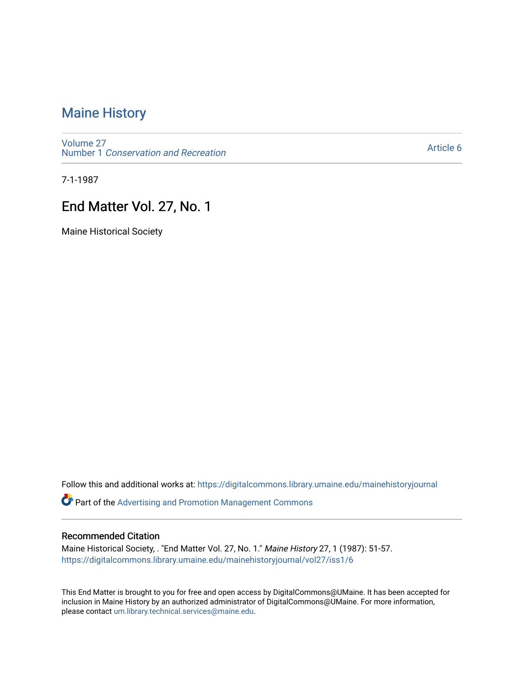# [Maine History](https://digitalcommons.library.umaine.edu/mainehistoryjournal)

[Volume 27](https://digitalcommons.library.umaine.edu/mainehistoryjournal/vol27) Number 1 [Conservation and Recreation](https://digitalcommons.library.umaine.edu/mainehistoryjournal/vol27/iss1) 

[Article 6](https://digitalcommons.library.umaine.edu/mainehistoryjournal/vol27/iss1/6) 

7-1-1987

# End Matter Vol. 27, No. 1

Maine Historical Society

Follow this and additional works at: [https://digitalcommons.library.umaine.edu/mainehistoryjournal](https://digitalcommons.library.umaine.edu/mainehistoryjournal?utm_source=digitalcommons.library.umaine.edu%2Fmainehistoryjournal%2Fvol27%2Fiss1%2F6&utm_medium=PDF&utm_campaign=PDFCoverPages) 

**Part of the Advertising and Promotion Management Commons** 

#### Recommended Citation

Maine Historical Society, . "End Matter Vol. 27, No. 1." Maine History 27, 1 (1987): 51-57. [https://digitalcommons.library.umaine.edu/mainehistoryjournal/vol27/iss1/6](https://digitalcommons.library.umaine.edu/mainehistoryjournal/vol27/iss1/6?utm_source=digitalcommons.library.umaine.edu%2Fmainehistoryjournal%2Fvol27%2Fiss1%2F6&utm_medium=PDF&utm_campaign=PDFCoverPages)

This End Matter is brought to you for free and open access by DigitalCommons@UMaine. It has been accepted for inclusion in Maine History by an authorized administrator of DigitalCommons@UMaine. For more information, please contact [um.library.technical.services@maine.edu.](mailto:um.library.technical.services@maine.edu)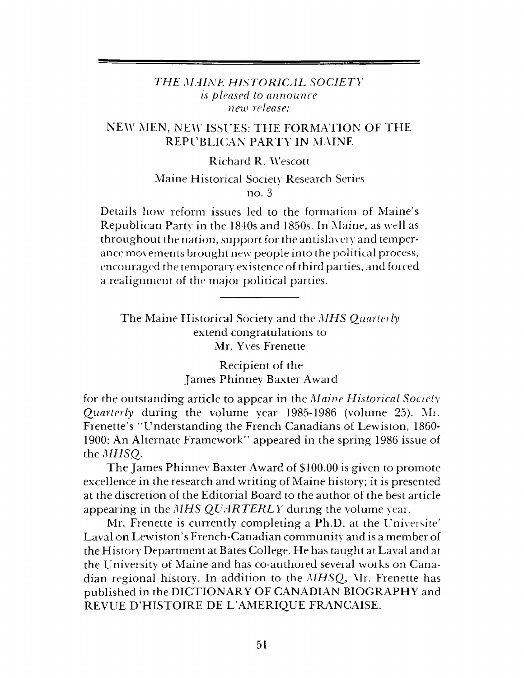## *THE MAINE HISTORICAL SOCIETY is pleased to announce new release:*

## NEW MEN, NEW ISSUES: THE FORMATION OF THE REPUBLICAN PARTY IN MAINE

## Richard R. Wescott

## Maine Historical Society Research Series no. <sup>3</sup>

Details how reform issues led to the formation of Maine'<sup>s</sup> Republican Party in the 1840s and 1850s. In Maine, as well as throughout the nation, support for the antislavery and temperance movements brought new people into the political process, encouraged the temporary existence of third parties, and forced a realignment of the major political parties.

The Maine Historical Society and the *MHS Quarterly* extend congratulations to Mr. Yves Frenette

> Recipient of the James Phinney Baxter Award

for the outstanding article to appear in the *Maine Historical Society Quarterly* during the volume year 1985-1986 (volume 25). Mr. Frenette'<sup>s</sup> "Understanding the French Canadians of Lewiston, 1860- 1900: An Alternate Framework" appeared in the spring 1986 issue of the *MHSQ.*

The James Phinney Baxter Award of \$100.00 is given to promote excellence in the research and writing of Maine history; it is presented at the discretion of the Editorial Board to the author of the best article appearing in the *MHS QUARTERLY* during the volume year.

Mr. Frenette is currently completing a Ph.D. at the Universite' Laval on Lewiston's French-Canadian community and is a member of the History Department at Bates College. He has taught at Laval and at the University of Maine and has co-authored several works on Canadian regional history. In addition to the *MHSQ,* Mr. Frenette has published in the DICTIONARY OF CANADIAN BIOGRAPHY and REVUE D'HISTOIRE DE L'AMERIQUE FRANCAISE.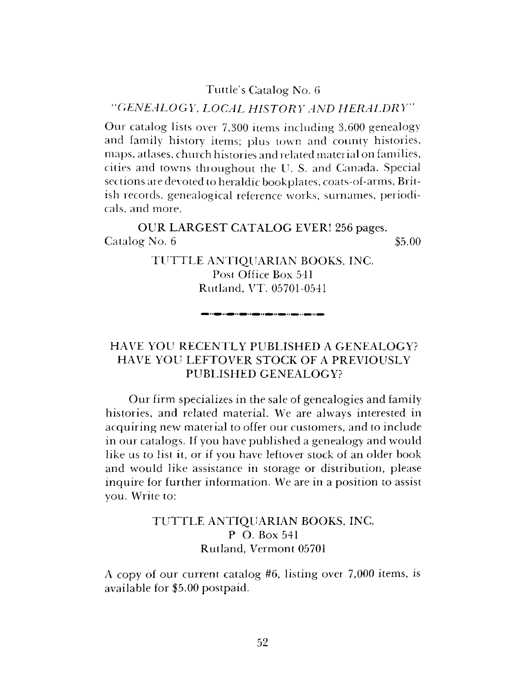### Tuttle'<sup>s</sup> Catalog No. 6

#### *'GENEALOGY, LOCAL HISTORY AND HERALDRY"*

Our catalog lists over 7,300 items including 3,600 genealogy and family history items; plus town and county histories, maps, atlases, church histories and related material on families, cities and towns throughout the IT. S. and Canada. Special sections are devoted to heraldic bookplates, coats-of-arms, British records, genealogical reference works, surnames, periodicals, and more.

OUR LARGEST CATALOG EVER! 256 pages.  $\alpha$  Catalog No. 6  $\qquad$  \$5.00

> TUTTLE ANTIQUARIAN BOOKS, INC. Post Office Box 541 Rutland, VT. 05701-0541

## HAVE YOU RECENTLY PUBLISHED A GENEALOGY? HAVE YOU LEFTOVER STOCK OF A PREVIOUSLY PUBLISHED GENEALOGY?

Our firm specializes in the sale of genealogies and family histories, and related material. We are always interested in acquiring new material to offer our customers, and to include in our catalogs. If you have published a genealogy and would like us to list it, or if you have leftover stock of an older book and would like assistance in storage or distribution, please inquire for further information. We are in a position to assist you. Write to:

## TUTTLE ANTIQUARIAN BOOKS, INC. P. O. Box 541 Rutland, Vermont 05701

A copy of our current catalog #6, listing over 7,000 items, is available for \$5.00 postpaid.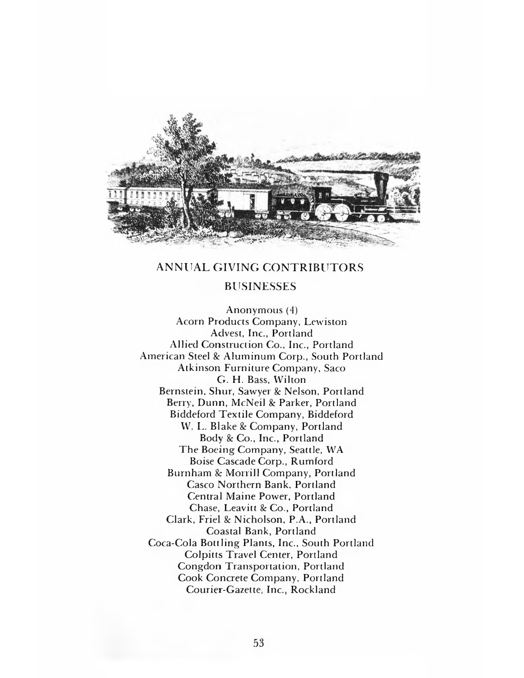

### ANNUAL GIVING CONTRIBUTORS

### BUSINESSES

Anonymous (4) Acorn Products Company, Lewiston Advest, Inc., Portland Allied Construction Co., Inc., Portland American Steel & Aluminum Corp., South Portland Atkinson Furniture Company, Saco G. H. Bass, Wilton Bernstein, Shur, Sawyer & Nelson, Portland Berry, Dunn, McNeil & Parker, Portland Biddeford Textile Company, Biddeford W. L. Blake & Company, Portland Body & Co., Inc., Portland The Boeing Company, Seattle, WA Boise Cascade Corp., Rumford Burnham & Morrill Company, Portland Casco Northern Bank, Portland Central Maine Power, Portland Chase, Leavitt & Co., Portland Clark, Friel & Nicholson, P.A., Portland Coastal Bank, Portland Coca-Cola Bottling Plants, Inc., South Portland Colpitts Travel Center, Portland Congdon Transportation, Portland Cook Concrete Company, Portland Courier-Gazette, Inc., Rockland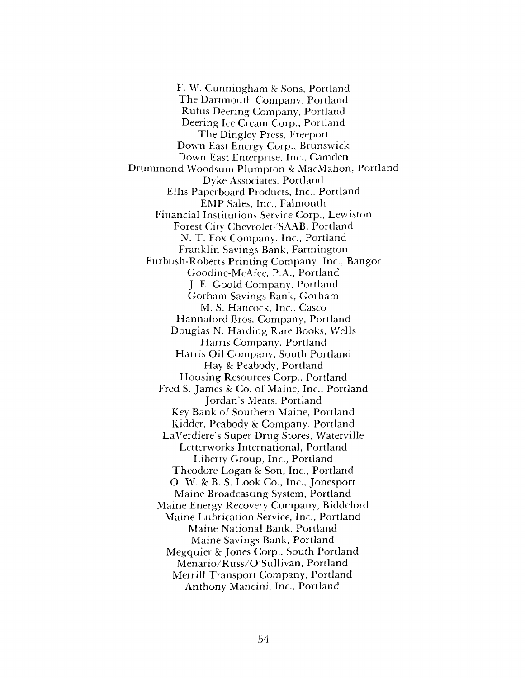F. W. Cunningham & Sons, Portland The Dartmouth Company, Portland Rufus Deering Company, Portland Deering Ice Cream Corp., Portland The Dingley Press, Freeport Down East Energy Corp., Brunswick Down East Enterprise, Inc., Camden Drummond Woodsum Plumpton & MacMahon, Portland Dyke Associates, Portland Ellis Paperboard Products, Inc., Portland EMP Sales, Inc., Falmouth Financial Institutions Service Corp., Lewiston Forest City Chevrolet/SAAB, Portland N. T. Fox Company, Inc., Portland Franklin Savings Bank, Farmington Furbush-Roberts Printing Company, Inc., Bangor Goodine-McAfee, P.A., Portland J. E. Goold Company, Portland Gorham Savings Bank, Gorham M. S. Hancock, Inc., Casco Hannaford Bros. Company, Portland Douglas N. Harding Rare Books, Wells Harris Company, Portland Harris Oil Company, South Portland Hay & Peabody, Portland Housing Resources Corp., Portland Fred S. James & Co. of Maine, Inc., Portland Jordan'<sup>s</sup> Meats, Portland Key Bank of Southern Maine, Portland Kidder, Peabody & Company, Portland LaVerdiere'<sup>s</sup> Super Drug Stores, Waterville Letterworks International, Portland Liberty Group, Inc., Portland Theodore Logan & Son, Inc., Portland O. W. & B. S. Look Co., Inc., Jonesport Maine Broadcasting System, Portland Maine Energy Recovery Company, Biddeford Maine Lubrication Service, Inc., Portland Maine National Bank, Portland Maine Savings Bank, Portland Megquier & Jones Corp., South Portland Menario/Russ/O'Sullivan, Portland Merrill Transport Company, Portland Anthony Mancini, Inc., Portland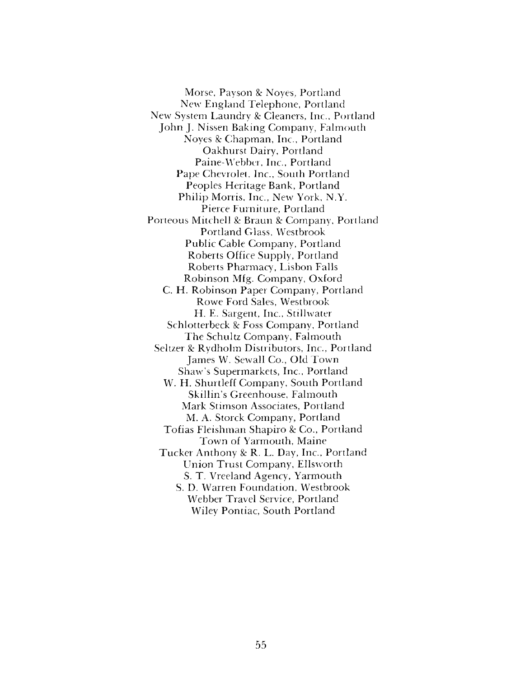Morse, Payson & Noyes, Portland New England Telephone, Portland New System Laundry & Cleaners, Inc., Portland John J. Nissen Baking Company, Falmouth Noyes & Chapman, Inc., Portland Oakhurst Dairy, Portland Paine-Webber, Inc., Portland Pape Chevrolet, Inc., South Portland Peoples Heritage Bank, Portland Philip Morris, Inc., New York, N.Y. Pierce Furniture, Portland Porteous Mitchell & Braun & Company, Portland Portland Glass, Westbrook Public Cable Company, Portland Roberts Office Supply, Portland Roberts Pharmacy, Lisbon Falls Robinson Mfg. Company, Oxford C. H. Robinson Paper Company, Portland Rowe Ford Sales, Westbrook H. E. Sargent, Inc., Stillwater Schlotterbeck & Foss Company, Portland The Schultz Company, Falmouth Seltzer & Rydholm Distributors, Inc., Portland James W. Sewall Co., Old Town Shaw'<sup>s</sup> Supermarkets, Inc., Portland W. H. Shurtleff Company, South Portland Skillin'<sup>s</sup> Greenhouse, Falmouth Mark Stimson Associates, Portland M. A. Storck Company, Portland Tofias Fleishman Shapiro & Co., Portland Town of Yarmouth, Maine Tucker Anthony & R. L. Day, Inc., Portland Union Trust Company, Ellsworth S. T. Vreeland Agency, Yarmouth S. D. Warren Foundation, Westbrook Webber Travel Service, Portland Wiley Pontiac, South Portland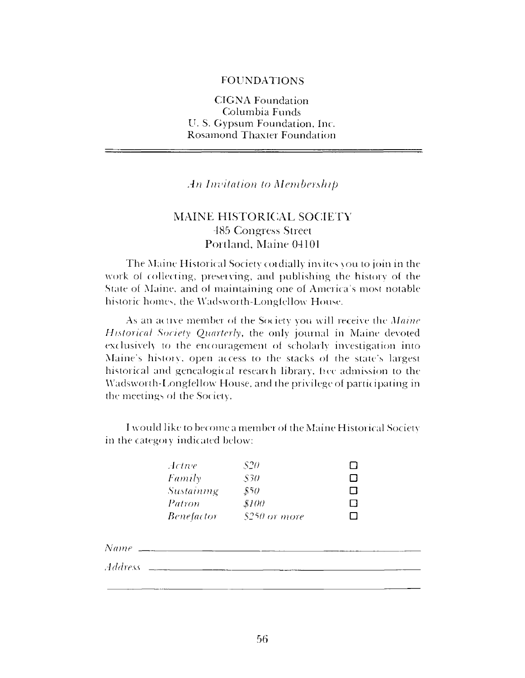#### FOUNDATIONS

## CIGNA Foundation Columbia Funds U. S. Gypsum Foundation, Inc. Rosamond Thaxter Foundation

*An Invitation to Membership*

## MAINE HISTORICAL SOCIETY 485 Congress Street Portland, Maine 04101

The Maine Historical Society cordially invites you to join in the work of collecting, preserving, and publishing the history of the State of Maine, and of maintaining one of America's most notable historic homes, the Wadsworth-Longfellow House.

As an active member of the Society you will receive the *Maine Historical Society Quarterly,* the only journal in Maine devoted exclusively to the encouragement of scholarly investigation into Maine'<sup>s</sup> history, open access to the stacks of the state'<sup>s</sup> largest historical and genealogical research library, five admission to the Wadsworth-Longfellow House, and the privilege of participating in the meetings ol the Society.

<sup>I</sup> would like to become a member of the Maine Historical Society in the category indicated below:

| $.1$ ctuve               | -S20          |     |
|--------------------------|---------------|-----|
| Family                   | .S30          | Н   |
| <i><b>Sustaining</b></i> | \$50          | 1 I |
| Patron                   | \$100         | H   |
| <i>Benefactor</i>        | \$250 or more | . . |

*N<sup>a</sup> me \_\_\_\_\_\_\_\_\_\_\_\_\_\_\_\_\_\_\_\_\_\_\_\_\_\_\_\_\_\_\_\_\_\_\_\_\_\_\_\_\_\_\_\_\_\_\_\_\_\_\_\_\_\_\_*

J*(I(Iress \_\_\_\_\_\_\_\_\_\_\_\_\_\_\_\_\_\_\_\_\_\_\_\_\_\_\_\_\_\_\_\_\_\_\_\_\_\_\_\_\_\_\_\_\_\_\_\_\_\_\_\_*